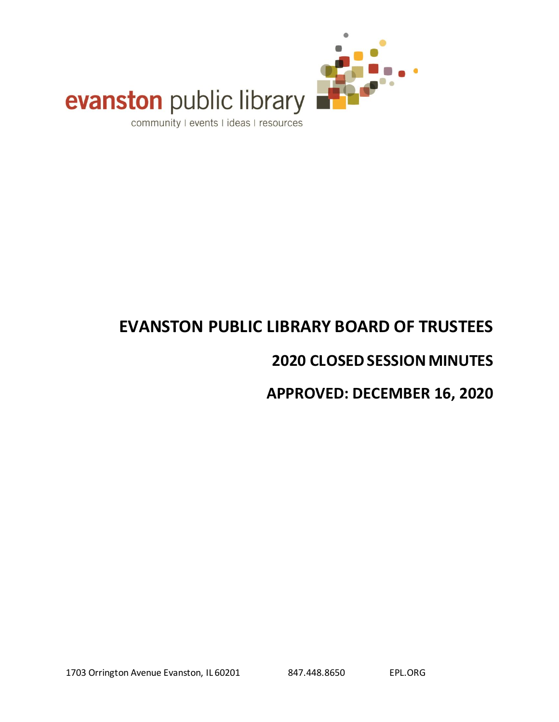

# evanston public library

community I events I ideas I resources

# **EVANSTON PUBLIC LIBRARY BOARD OF TRUSTEES**

# **2020 CLOSED SESSION MINUTES**

# **APPROVED: DECEMBER 16, 2020**

1703 Orrington Avenue Evanston, IL 60201 847.448.8650 EPL.ORG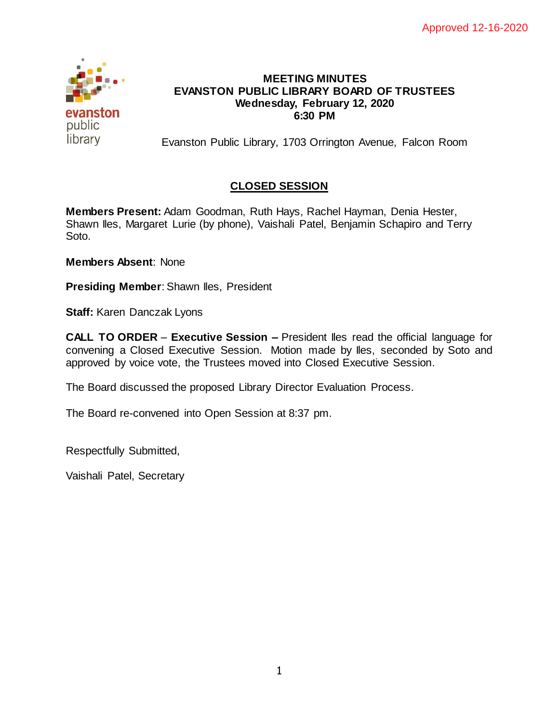

#### **MEETING MINUTES EVANSTON PUBLIC LIBRARY BOARD OF TRUSTEES Wednesday, February 12, 2020 6:30 PM**

Evanston Public Library, 1703 Orrington Avenue, Falcon Room

## **CLOSED SESSION**

**Members Present:** Adam Goodman, Ruth Hays, Rachel Hayman, Denia Hester, Shawn Iles, Margaret Lurie (by phone), Vaishali Patel, Benjamin Schapiro and Terry Soto.

**Members Absent**: None

**Presiding Member:** Shawn Iles, President

**Staff:** Karen Danczak Lyons

**CALL TO ORDER** – **Executive Session –** President Iles read the official language for convening a Closed Executive Session. Motion made by Iles, seconded by Soto and approved by voice vote, the Trustees moved into Closed Executive Session.

The Board discussed the proposed Library Director Evaluation Process.

The Board re-convened into Open Session at 8:37 pm.

Respectfully Submitted,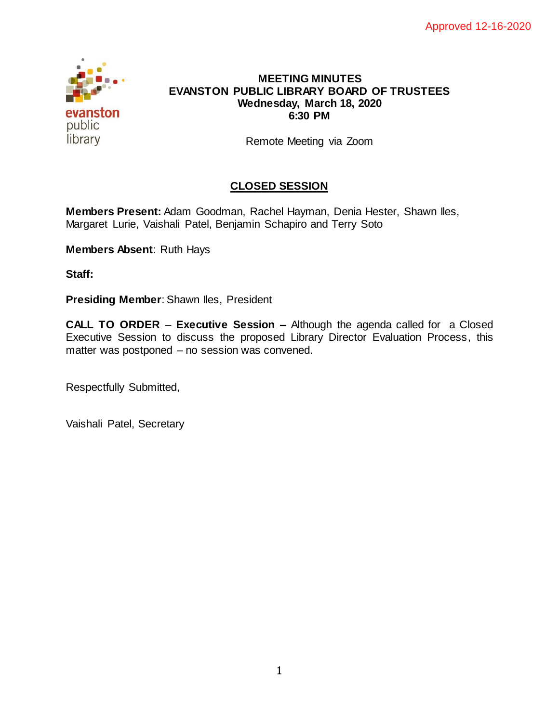

#### **MEETING MINUTES EVANSTON PUBLIC LIBRARY BOARD OF TRUSTEES Wednesday, March 18, 2020 6:30 PM**

Remote Meeting via Zoom

### **CLOSED SESSION**

**Members Present:** Adam Goodman, Rachel Hayman, Denia Hester, Shawn Iles, Margaret Lurie, Vaishali Patel, Benjamin Schapiro and Terry Soto

**Members Absent**: Ruth Hays

**Staff:** 

**Presiding Member:** Shawn Iles, President

**CALL TO ORDER** – **Executive Session –** Although the agenda called for a Closed Executive Session to discuss the proposed Library Director Evaluation Process, this matter was postponed – no session was convened.

Respectfully Submitted,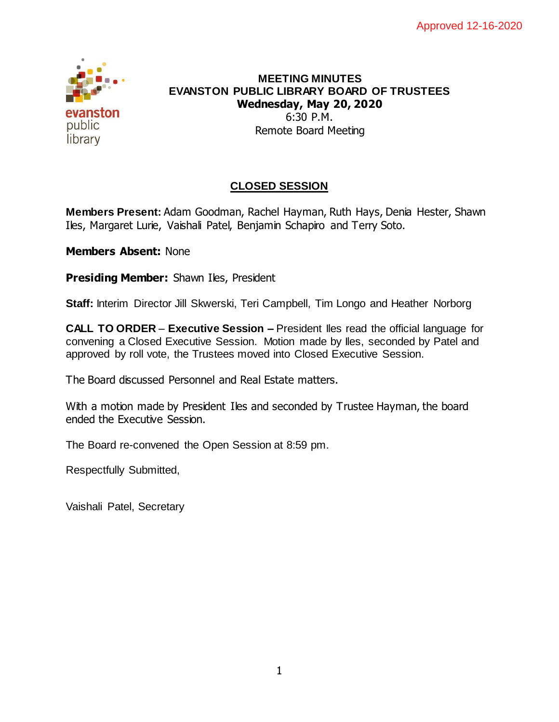

#### **MEETING MINUTES EVANSTON PUBLIC LIBRARY BOARD OF TRUSTEES Wednesday, May 20, 2020** 6:30 P.M. Remote Board Meeting

## **CLOSED SESSION**

**Members Present:** Adam Goodman, Rachel Hayman, Ruth Hays, Denia Hester, Shawn Iles, Margaret Lurie, Vaishali Patel, Benjamin Schapiro and Terry Soto.

**Members Absent:** None

**Presiding Member:** Shawn Iles, President

**Staff:** Interim Director Jill Skwerski, Teri Campbell, Tim Longo and Heather Norborg

**CALL TO ORDER** – **Executive Session –** President Iles read the official language for convening a Closed Executive Session. Motion made by Iles, seconded by Patel and approved by roll vote, the Trustees moved into Closed Executive Session.

The Board discussed Personnel and Real Estate matters.

With a motion made by President Iles and seconded by Trustee Hayman, the board ended the Executive Session.

The Board re-convened the Open Session at 8:59 pm.

Respectfully Submitted,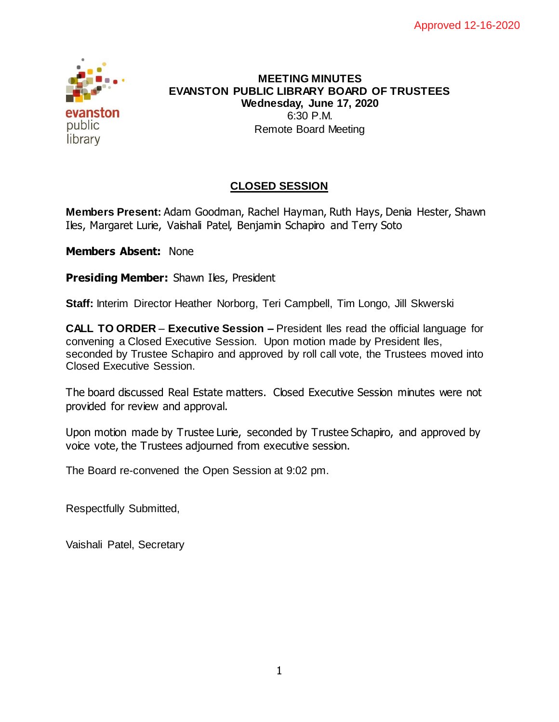

#### **MEETING MINUTES EVANSTON PUBLIC LIBRARY BOARD OF TRUSTEES Wednesday, June 17, 2020** 6:30 P.M. Remote Board Meeting

# **CLOSED SESSION**

**Members Present:** Adam Goodman, Rachel Hayman, Ruth Hays, Denia Hester, Shawn Iles, Margaret Lurie, Vaishali Patel, Benjamin Schapiro and Terry Soto

**Members Absent:** None

**Presiding Member:** Shawn Iles, President

**Staff:** Interim Director Heather Norborg, Teri Campbell, Tim Longo, Jill Skwerski

**CALL TO ORDER** – **Executive Session –** President Iles read the official language for convening a Closed Executive Session. Upon motion made by President Iles, seconded by Trustee Schapiro and approved by roll call vote, the Trustees moved into Closed Executive Session.

The board discussed Real Estate matters. Closed Executive Session minutes were not provided for review and approval.

Upon motion made by Trustee Lurie, seconded by Trustee Schapiro, and approved by voice vote, the Trustees adjourned from executive session.

The Board re-convened the Open Session at 9:02 pm.

Respectfully Submitted,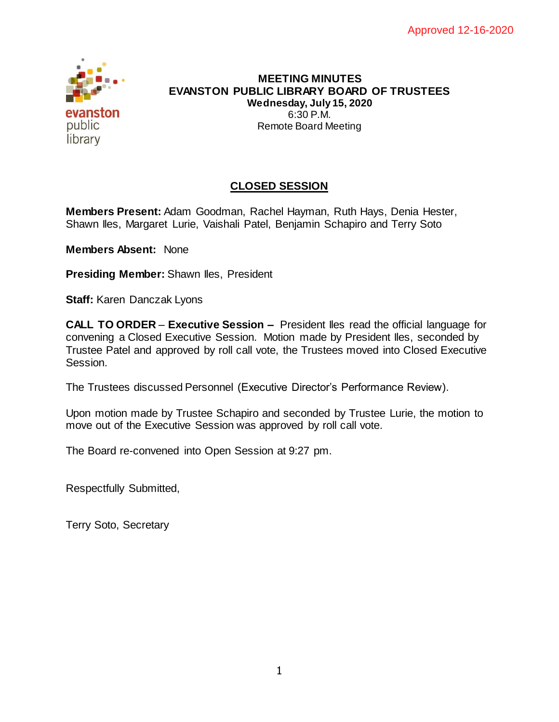

#### **MEETING MINUTES EVANSTON PUBLIC LIBRARY BOARD OF TRUSTEES Wednesday, July 15, 2020** 6:30 P.M. Remote Board Meeting

# **CLOSED SESSION**

**Members Present:** Adam Goodman, Rachel Hayman, Ruth Hays, Denia Hester, Shawn Iles, Margaret Lurie, Vaishali Patel, Benjamin Schapiro and Terry Soto

**Members Absent:** None

**Presiding Member:** Shawn Iles, President

**Staff:** Karen Danczak Lyons

**CALL TO ORDER** – **Executive Session –** President Iles read the official language for convening a Closed Executive Session. Motion made by President Iles, seconded by Trustee Patel and approved by roll call vote, the Trustees moved into Closed Executive Session.

The Trustees discussed Personnel (Executive Director's Performance Review).

Upon motion made by Trustee Schapiro and seconded by Trustee Lurie, the motion to move out of the Executive Session was approved by roll call vote.

The Board re-convened into Open Session at 9:27 pm.

Respectfully Submitted,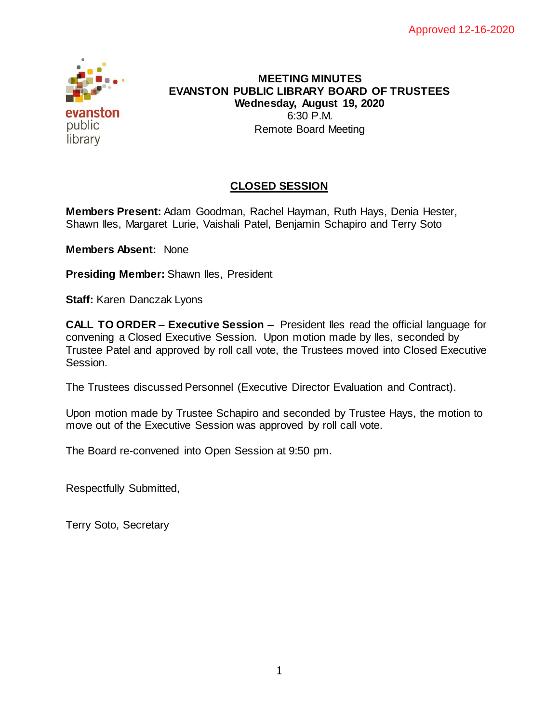

#### **MEETING MINUTES EVANSTON PUBLIC LIBRARY BOARD OF TRUSTEES Wednesday, August 19, 2020** 6:30 P.M. Remote Board Meeting

## **CLOSED SESSION**

**Members Present:** Adam Goodman, Rachel Hayman, Ruth Hays, Denia Hester, Shawn Iles, Margaret Lurie, Vaishali Patel, Benjamin Schapiro and Terry Soto

**Members Absent:** None

**Presiding Member:** Shawn Iles, President

**Staff:** Karen Danczak Lyons

**CALL TO ORDER** – **Executive Session –** President Iles read the official language for convening a Closed Executive Session. Upon motion made by Iles, seconded by Trustee Patel and approved by roll call vote, the Trustees moved into Closed Executive Session.

The Trustees discussed Personnel (Executive Director Evaluation and Contract).

Upon motion made by Trustee Schapiro and seconded by Trustee Hays, the motion to move out of the Executive Session was approved by roll call vote.

The Board re-convened into Open Session at 9:50 pm.

Respectfully Submitted,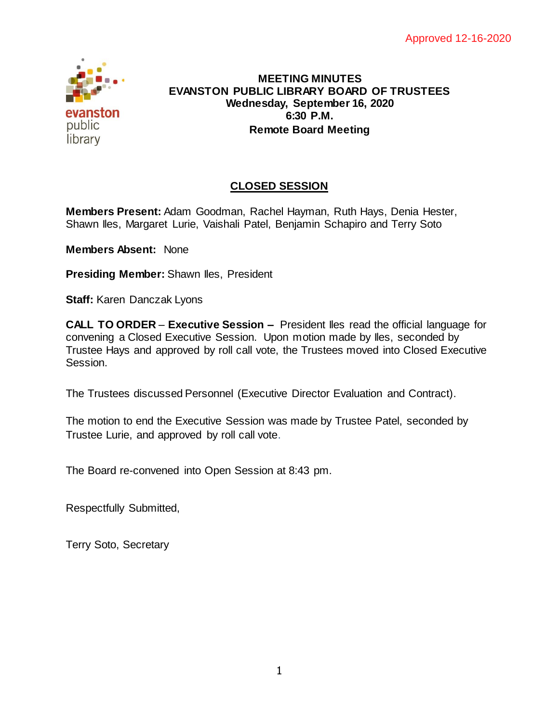

#### **MEETING MINUTES EVANSTON PUBLIC LIBRARY BOARD OF TRUSTEES Wednesday, September 16, 2020 6:30 P.M. Remote Board Meeting**

# **CLOSED SESSION**

**Members Present:** Adam Goodman, Rachel Hayman, Ruth Hays, Denia Hester, Shawn Iles, Margaret Lurie, Vaishali Patel, Benjamin Schapiro and Terry Soto

**Members Absent:** None

**Presiding Member:** Shawn Iles, President

**Staff:** Karen Danczak Lyons

**CALL TO ORDER** – **Executive Session –** President Iles read the official language for convening a Closed Executive Session. Upon motion made by Iles, seconded by Trustee Hays and approved by roll call vote, the Trustees moved into Closed Executive Session.

The Trustees discussed Personnel (Executive Director Evaluation and Contract).

The motion to end the Executive Session was made by Trustee Patel, seconded by Trustee Lurie, and approved by roll call vote.

The Board re-convened into Open Session at 8:43 pm.

Respectfully Submitted,